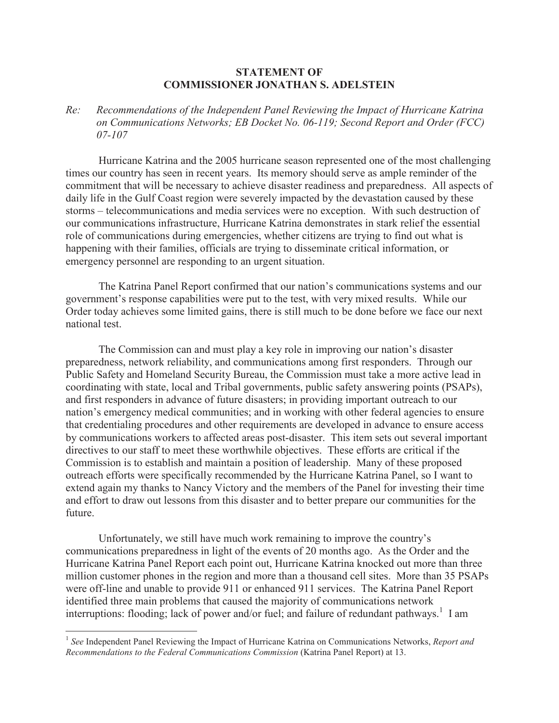## **STATEMENT OF COMMISSIONER JONATHAN S. ADELSTEIN**

*Re: Recommendations of the Independent Panel Reviewing the Impact of Hurricane Katrina on Communications Networks; EB Docket No. 06-119; Second Report and Order (FCC) 07-107*

Hurricane Katrina and the 2005 hurricane season represented one of the most challenging times our country has seen in recent years. Its memory should serve as ample reminder of the commitment that will be necessary to achieve disaster readiness and preparedness. All aspects of daily life in the Gulf Coast region were severely impacted by the devastation caused by these storms – telecommunications and media services were no exception. With such destruction of our communications infrastructure, Hurricane Katrina demonstrates in stark relief the essential role of communications during emergencies, whether citizens are trying to find out what is happening with their families, officials are trying to disseminate critical information, or emergency personnel are responding to an urgent situation.

The Katrina Panel Report confirmed that our nation's communications systems and our government's response capabilities were put to the test, with very mixed results. While our Order today achieves some limited gains, there is still much to be done before we face our next national test.

The Commission can and must play a key role in improving our nation's disaster preparedness, network reliability, and communications among first responders. Through our Public Safety and Homeland Security Bureau, the Commission must take a more active lead in coordinating with state, local and Tribal governments, public safety answering points (PSAPs), and first responders in advance of future disasters; in providing important outreach to our nation's emergency medical communities; and in working with other federal agencies to ensure that credentialing procedures and other requirements are developed in advance to ensure access by communications workers to affected areas post-disaster. This item sets out several important directives to our staff to meet these worthwhile objectives. These efforts are critical if the Commission is to establish and maintain a position of leadership. Many of these proposed outreach efforts were specifically recommended by the Hurricane Katrina Panel, so I want to extend again my thanks to Nancy Victory and the members of the Panel for investing their time and effort to draw out lessons from this disaster and to better prepare our communities for the future.

Unfortunately, we still have much work remaining to improve the country's communications preparedness in light of the events of 20 months ago. As the Order and the Hurricane Katrina Panel Report each point out, Hurricane Katrina knocked out more than three million customer phones in the region and more than a thousand cell sites. More than 35 PSAPs were off-line and unable to provide 911 or enhanced 911 services. The Katrina Panel Report identified three main problems that caused the majority of communications network interruptions: flooding; lack of power and/or fuel; and failure of redundant pathways.<sup>1</sup> I am

<sup>&</sup>lt;sup>1</sup> See Independent Panel Reviewing the Impact of Hurricane Katrina on Communications Networks, *Report and Recommendations to the Federal Communications Commission* (Katrina Panel Report) at 13.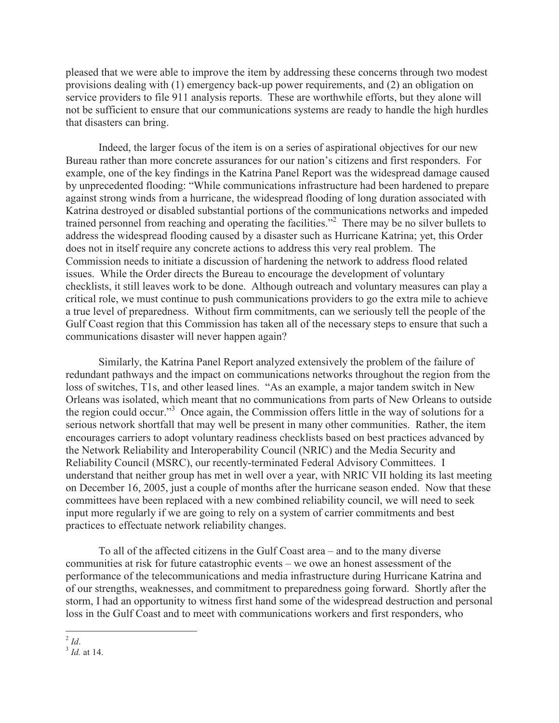pleased that we were able to improve the item by addressing these concerns through two modest provisions dealing with (1) emergency back-up power requirements, and (2) an obligation on service providers to file 911 analysis reports. These are worthwhile efforts, but they alone will not be sufficient to ensure that our communications systems are ready to handle the high hurdles that disasters can bring.

Indeed, the larger focus of the item is on a series of aspirational objectives for our new Bureau rather than more concrete assurances for our nation's citizens and first responders. For example, one of the key findings in the Katrina Panel Report was the widespread damage caused by unprecedented flooding: "While communications infrastructure had been hardened to prepare against strong winds from a hurricane, the widespread flooding of long duration associated with Katrina destroyed or disabled substantial portions of the communications networks and impeded trained personnel from reaching and operating the facilities."<sup>2</sup> There may be no silver bullets to address the widespread flooding caused by a disaster such as Hurricane Katrina; yet, this Order does not in itself require any concrete actions to address this very real problem. The Commission needs to initiate a discussion of hardening the network to address flood related issues. While the Order directs the Bureau to encourage the development of voluntary checklists, it still leaves work to be done. Although outreach and voluntary measures can play a critical role, we must continue to push communications providers to go the extra mile to achieve a true level of preparedness. Without firm commitments, can we seriously tell the people of the Gulf Coast region that this Commission has taken all of the necessary steps to ensure that such a communications disaster will never happen again?

Similarly, the Katrina Panel Report analyzed extensively the problem of the failure of redundant pathways and the impact on communications networks throughout the region from the loss of switches, T1s, and other leased lines. "As an example, a major tandem switch in New Orleans was isolated, which meant that no communications from parts of New Orleans to outside the region could occur."<sup>3</sup> Once again, the Commission offers little in the way of solutions for a serious network shortfall that may well be present in many other communities. Rather, the item encourages carriers to adopt voluntary readiness checklists based on best practices advanced by the Network Reliability and Interoperability Council (NRIC) and the Media Security and Reliability Council (MSRC), our recently-terminated Federal Advisory Committees. I understand that neither group has met in well over a year, with NRIC VII holding its last meeting on December 16, 2005, just a couple of months after the hurricane season ended. Now that these committees have been replaced with a new combined reliability council, we will need to seek input more regularly if we are going to rely on a system of carrier commitments and best practices to effectuate network reliability changes.

To all of the affected citizens in the Gulf Coast area – and to the many diverse communities at risk for future catastrophic events – we owe an honest assessment of the performance of the telecommunications and media infrastructure during Hurricane Katrina and of our strengths, weaknesses, and commitment to preparedness going forward. Shortly after the storm, I had an opportunity to witness first hand some of the widespread destruction and personal loss in the Gulf Coast and to meet with communications workers and first responders, who

<sup>2</sup> *Id*.

<sup>3</sup> *Id.* at 14.